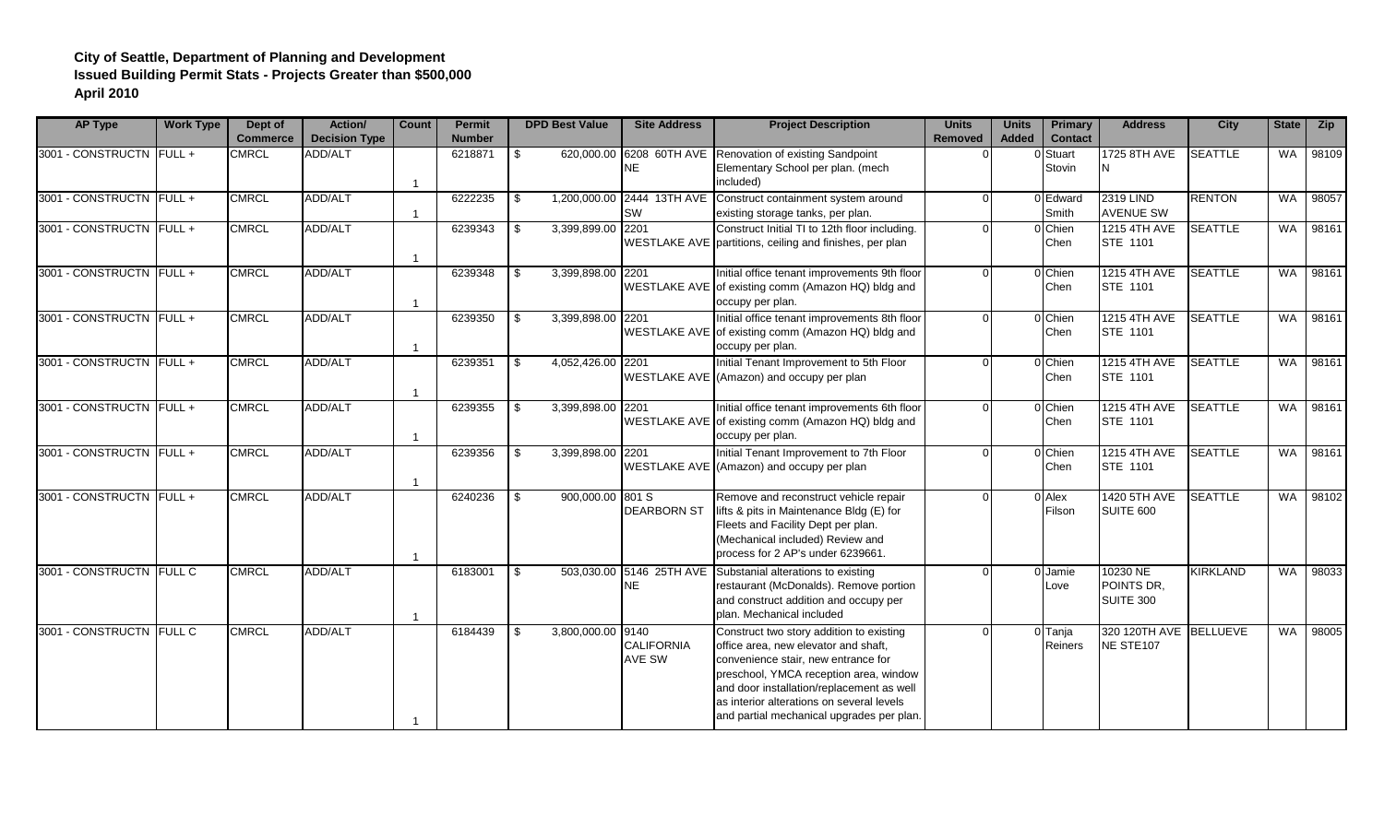## **City of Seattle, Department of Planning and Development Issued Building Permit Stats - Projects Greater than \$500,000 April 2010**

| <b>AP Type</b>           | <b>Work Type</b> | Dept of<br><b>Commerce</b> | Action/<br><b>Decision Type</b> | <b>Count</b>   | <b>Permit</b><br><b>Number</b> |     | <b>DPD Best Value</b> | <b>Site Address</b>                | <b>Project Description</b>                                                                                                                                                                                                                                                                               | <b>Units</b><br><b>Removed</b> | <b>Units</b><br><b>Added</b> | <b>Primary</b><br><b>Contact</b> | <b>Address</b>                             | <b>City</b>     |           | State Zip |
|--------------------------|------------------|----------------------------|---------------------------------|----------------|--------------------------------|-----|-----------------------|------------------------------------|----------------------------------------------------------------------------------------------------------------------------------------------------------------------------------------------------------------------------------------------------------------------------------------------------------|--------------------------------|------------------------------|----------------------------------|--------------------------------------------|-----------------|-----------|-----------|
| 3001 - CONSTRUCTN FULL + |                  | <b>CMRCL</b>               | <b>ADD/ALT</b>                  | $\overline{1}$ | 6218871                        | \$  | 620,000.00            | <b>NE</b>                          | 6208 60TH AVE Renovation of existing Sandpoint<br>Elementary School per plan. (mech<br>included)                                                                                                                                                                                                         |                                |                              | 0 Stuart<br>Stovin               | 1725 8TH AVE<br><b>N</b>                   | <b>SEATTLE</b>  | <b>WA</b> | 98109     |
| 3001 - CONSTRUCTN FULL + |                  | <b>CMRCL</b>               | ADD/ALT                         | $\mathbf{1}$   | 6222235                        | \$  |                       | <b>SW</b>                          | 1,200,000.00 2444 13TH AVE Construct containment system around<br>existing storage tanks, per plan.                                                                                                                                                                                                      |                                |                              | 0 Edward<br>Smith                | 2319 LIND<br><b>AVENUE SW</b>              | <b>RENTON</b>   | <b>WA</b> | 98057     |
| 3001 - CONSTRUCTN FULL + |                  | <b>CMRCL</b>               | <b>ADD/ALT</b>                  | $\overline{1}$ | 6239343                        | \$. | 3,399,899.00          | 2201                               | Construct Initial TI to 12th floor including.<br>WESTLAKE AVE partitions, ceiling and finishes, per plan                                                                                                                                                                                                 |                                |                              | 0 Chien<br>Chen                  | 1215 4TH AVE<br>STE 1101                   | <b>SEATTLE</b>  | WA        | 98161     |
| 3001 - CONSTRUCTN FULL + |                  | <b>CMRCL</b>               | <b>ADD/ALT</b>                  | $\overline{1}$ | 6239348                        | \$. | 3,399,898.00 2201     |                                    | Initial office tenant improvements 9th floor<br>WESTLAKE AVE of existing comm (Amazon HQ) bldg and<br>occupy per plan.                                                                                                                                                                                   | $\Omega$                       |                              | 0 Chien<br>Chen                  | 1215 4TH AVE<br>STE 1101                   | <b>SEATTLE</b>  |           | WA 98161  |
| 3001 - CONSTRUCTN FULL + |                  | <b>CMRCL</b>               | <b>ADD/ALT</b>                  | $\overline{1}$ | 6239350                        | \$  | 3,399,898.00          | 2201                               | Initial office tenant improvements 8th floor<br>WESTLAKE AVE of existing comm (Amazon HQ) bldg and<br>occupy per plan.                                                                                                                                                                                   | $\Omega$                       |                              | 0 Chien<br>Chen                  | 1215 4TH AVE<br>STE 1101                   | <b>SEATTLE</b>  | WA        | 98161     |
| 3001 - CONSTRUCTN FULL + |                  | <b>CMRCL</b>               | <b>ADD/ALT</b>                  | $\overline{1}$ | 6239351                        | \$  | 4,052,426.00 2201     |                                    | Initial Tenant Improvement to 5th Floor<br>WESTLAKE AVE (Amazon) and occupy per plan                                                                                                                                                                                                                     |                                |                              | 0 Chien<br>Chen                  | 1215 4TH AVE<br><b>STE 1101</b>            | <b>SEATTLE</b>  | <b>WA</b> | 98161     |
| 3001 - CONSTRUCTN FULL + |                  | <b>CMRCL</b>               | ADD/ALT                         | $\overline{1}$ | 6239355                        | \$  | 3,399,898.00          | 2201                               | Initial office tenant improvements 6th floor<br>WESTLAKE AVE of existing comm (Amazon HQ) bldg and<br>occupy per plan.                                                                                                                                                                                   |                                |                              | 0 Chien<br>Chen                  | 1215 4TH AVE<br>STE 1101                   | <b>SEATTLE</b>  | <b>WA</b> | 98161     |
| 3001 - CONSTRUCTN FULL + |                  | <b>CMRCL</b>               | ADD/ALT                         | $\overline{1}$ | 6239356                        | \$  | 3,399,898.00 2201     |                                    | Initial Tenant Improvement to 7th Floor<br>WESTLAKE AVE (Amazon) and occupy per plan                                                                                                                                                                                                                     | $\Omega$                       |                              | 0 Chien<br>Chen                  | 1215 4TH AVE<br>STE 1101                   | <b>SEATTLE</b>  | <b>WA</b> | 98161     |
| 3001 - CONSTRUCTN FULL + |                  | <b>CMRCL</b>               | <b>ADD/ALT</b>                  | -1             | 6240236                        | \$. | 900,000.00 801 S      | <b>DEARBORN ST</b>                 | Remove and reconstruct vehicle repair<br>lifts & pits in Maintenance Bldg (E) for<br>Fleets and Facility Dept per plan.<br>(Mechanical included) Review and<br>process for 2 AP's under 6239661.                                                                                                         |                                |                              | 0 Alex<br>Filson                 | 1420 5TH AVE<br>SUITE 600                  | <b>SEATTLE</b>  | <b>WA</b> | 98102     |
| 3001 - CONSTRUCTN FULL C |                  | <b>CMRCL</b>               | <b>ADD/ALT</b>                  | -1             | 6183001                        | \$. |                       | <b>NE</b>                          | 503,030.00 5146 25TH AVE Substanial alterations to existing<br>restaurant (McDonalds). Remove portion<br>and construct addition and occupy per<br>plan. Mechanical included                                                                                                                              |                                |                              | 0 Jamie<br>Love                  | 10230 NE<br>POINTS DR.<br><b>SUITE 300</b> | <b>KIRKLAND</b> | WA        | 98033     |
| 3001 - CONSTRUCTN FULL C |                  | <b>CMRCL</b>               | <b>ADD/ALT</b>                  |                | 6184439                        | \$  | 3,800,000.00 9140     | <b>CALIFORNIA</b><br><b>AVE SW</b> | Construct two story addition to existing<br>office area, new elevator and shaft.<br>convenience stair, new entrance for<br>preschool, YMCA reception area, window<br>and door installation/replacement as well<br>as interior alterations on several levels<br>and partial mechanical upgrades per plan. |                                |                              | 0 Tanja<br><b>Reiners</b>        | 320 120TH AVE BELLUEVE<br>NE STE107        |                 | WA        | 98005     |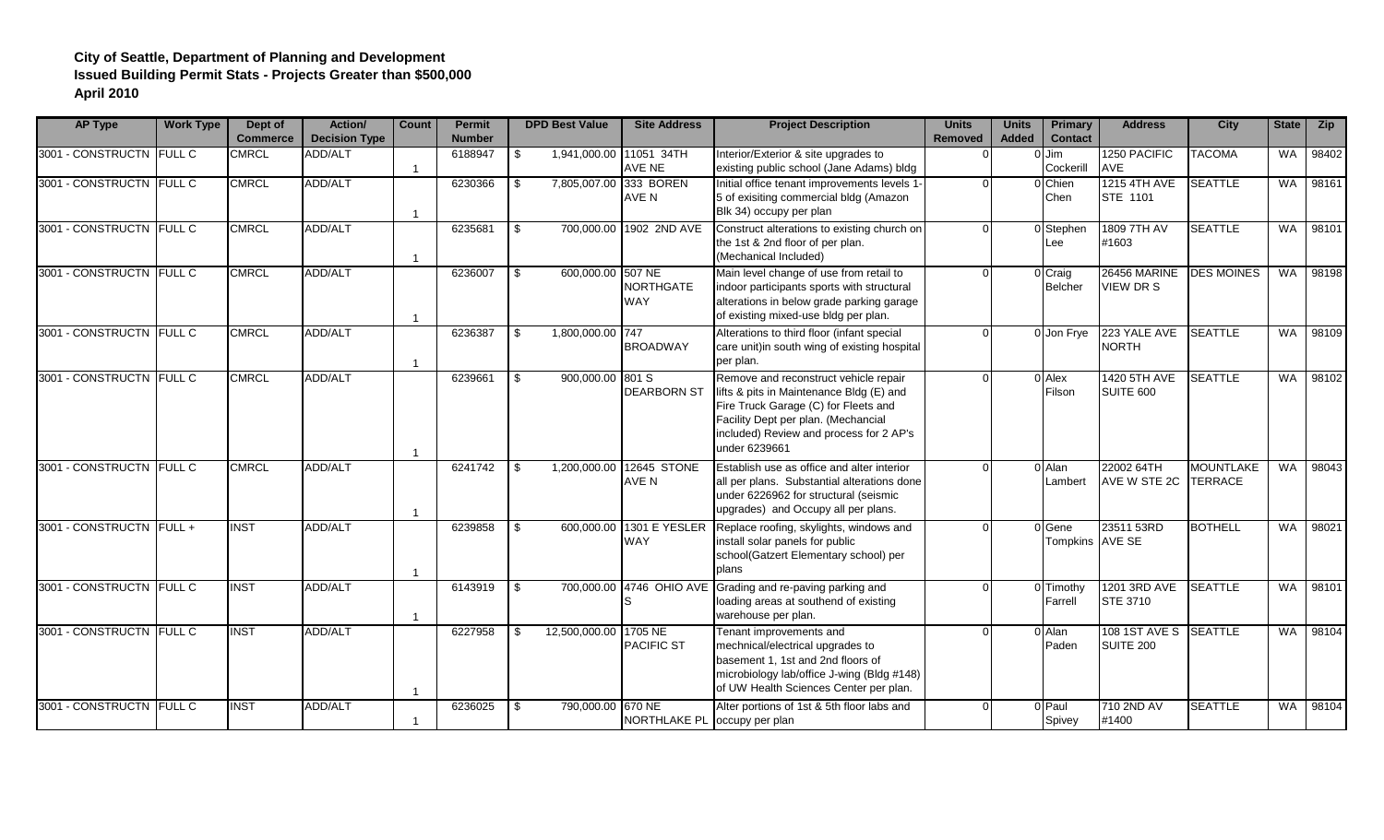## **City of Seattle, Department of Planning and Development Issued Building Permit Stats - Projects Greater than \$500,000 April 2010**

| <b>AP Type</b>           | <b>Work Type</b> | Dept of<br><b>Commerce</b> | <b>Action</b> /<br><b>Decision Type</b> | <b>Count</b>            | <b>Permit</b><br><b>Number</b> |      | <b>DPD Best Value</b> | <b>Site Address</b>                    | <b>Project Description</b>                                                                                                                                                                                                   | <b>Units</b><br><b>Removed</b> | <b>Units</b><br><b>Added</b> | <b>Primary</b><br><b>Contact</b> | <b>Address</b>                             | <b>City</b>       | State     | <b>Zip</b> |
|--------------------------|------------------|----------------------------|-----------------------------------------|-------------------------|--------------------------------|------|-----------------------|----------------------------------------|------------------------------------------------------------------------------------------------------------------------------------------------------------------------------------------------------------------------------|--------------------------------|------------------------------|----------------------------------|--------------------------------------------|-------------------|-----------|------------|
| 3001 - CONSTRUCTN FULL C |                  | <b>CMRCL</b>               | <b>ADD/ALT</b>                          | $\mathbf{1}$            | 6188947                        | - \$ |                       | 1,941,000.00 11051 34TH<br>AVE NE      | Interior/Exterior & site upgrades to<br>existing public school (Jane Adams) bldg                                                                                                                                             |                                |                              | Jim<br>Cockerill                 | 1250 PACIFIC<br>AVE                        | <b>TACOMA</b>     | <b>WA</b> | 98402      |
| 3001 - CONSTRUCTN FULL C |                  | <b>CMRCL</b>               | <b>ADD/ALT</b>                          | $\overline{\mathbf{1}}$ | 6230366                        | -\$  |                       | 7,805,007.00 333 BOREN<br>AVE N        | Initial office tenant improvements levels 1-<br>5 of exisiting commercial bldg (Amazon<br>Blk 34) occupy per plan                                                                                                            |                                |                              | 0 Chien<br>Chen                  | 1215 4TH AVE<br>STE 1101                   | <b>SEATTLE</b>    | <b>WA</b> | 98161      |
| 3001 - CONSTRUCTN FULL C |                  | <b>CMRCL</b>               | <b>ADD/ALT</b>                          | $\overline{1}$          | 6235681                        | \$   |                       | 700,000.00 1902 2ND AVE                | Construct alterations to existing church on<br>the 1st & 2nd floor of per plan.<br>(Mechanical Included)                                                                                                                     |                                |                              | 0 Stephen<br>Lee                 | 1809 7TH AV<br>#1603                       | <b>SEATTLE</b>    | <b>WA</b> | 98101      |
| 3001 - CONSTRUCTN FULL C |                  | <b>CMRCL</b>               | <b>ADD/ALT</b>                          | -1                      | 6236007                        | \$   | 600,000.00 507 NE     | <b>NORTHGATE</b><br><b>WAY</b>         | Main level change of use from retail to<br>indoor participants sports with structural<br>alterations in below grade parking garage<br>of existing mixed-use bldg per plan.                                                   |                                |                              | 0 Craig<br>Belcher               | <b>26456 MARINE</b><br><b>VIEW DR S</b>    | <b>DES MOINES</b> | <b>WA</b> | 98198      |
| 3001 - CONSTRUCTN FULL C |                  | <b>CMRCL</b>               | <b>ADD/ALT</b>                          | -1                      | 6236387                        | -\$  | 1,800,000.00 747      | <b>BROADWAY</b>                        | Alterations to third floor (infant special<br>care unit)in south wing of existing hospital<br>per plan.                                                                                                                      |                                |                              | 0 Jon Frye                       | 223 YALE AVE<br><b>NORTH</b>               | <b>SEATTLE</b>    | <b>WA</b> | 98109      |
| 3001 - CONSTRUCTN FULL C |                  | <b>CMRCL</b>               | <b>ADD/ALT</b>                          |                         | 6239661                        | \$.  | 900,000.00 801 S      | <b>DEARBORN ST</b>                     | Remove and reconstruct vehicle repair<br>lifts & pits in Maintenance Bldg (E) and<br>Fire Truck Garage (C) for Fleets and<br>Facility Dept per plan. (Mechancial<br>included) Review and process for 2 AP's<br>under 6239661 |                                |                              | 0 Alex<br>Filson                 | 1420 5TH AVE<br>SUITE 600                  | <b>SEATTLE</b>    | <b>WA</b> | 98102      |
| 3001 - CONSTRUCTN FULL C |                  | <b>CMRCL</b>               | <b>ADD/ALT</b>                          | $\overline{\mathbf{1}}$ | 6241742                        | - \$ | 1,200,000.00          | 12645 STONE<br>AVE N                   | Establish use as office and alter interior<br>all per plans. Substantial alterations done<br>under 6226962 for structural (seismic<br>upgrades) and Occupy all per plans.                                                    |                                |                              | 0 Alan<br>Lambert                | 22002 64TH<br><b>AVE W STE 2C ITERRACE</b> | <b>MOUNTLAKE</b>  | WA        | 98043      |
| 3001 - CONSTRUCTN FULL + |                  | <b>INST</b>                | ADD/ALT                                 | -1                      | 6239858                        | \$.  |                       | 600,000.00 1301 E YESLER<br><b>WAY</b> | Replace roofing, skylights, windows and<br>install solar panels for public<br>school(Gatzert Elementary school) per<br>plans                                                                                                 |                                |                              | 0 Gene<br>Tompkins AVE SE        | 23511 53RD                                 | <b>BOTHELL</b>    | <b>WA</b> | 98021      |
| 3001 - CONSTRUCTN FULL C |                  | <b>INST</b>                | <b>ADD/ALT</b>                          | -1                      | 6143919                        | \$   |                       | 700,000.00 4746 OHIO AVE               | Grading and re-paving parking and<br>loading areas at southend of existing<br>warehouse per plan.                                                                                                                            |                                |                              | 0 Timothy<br>Farrell             | 1201 3RD AVE<br><b>STE 3710</b>            | <b>SEATTLE</b>    | WA I      | 98101      |
| 3001 - CONSTRUCTN FULL C |                  | <b>INST</b>                | ADD/ALT                                 | -1                      | 6227958                        | - \$ | 12,500,000.00 1705 NE | <b>PACIFIC ST</b>                      | Tenant improvements and<br>mechnical/electrical upgrades to<br>basement 1, 1st and 2nd floors of<br>microbiology lab/office J-wing (Bldg #148)<br>of UW Health Sciences Center per plan.                                     |                                |                              | 0 Alan<br>Paden                  | 108 1ST AVE S SEATTLE<br>SUITE 200         |                   | <b>WA</b> | 98104      |
| 3001 - CONSTRUCTN FULL C |                  | <b>INST</b>                | ADD/ALT                                 | 1                       | 6236025                        | \$   | 790,000.00 670 NE     | NORTHLAKE PL                           | Alter portions of 1st & 5th floor labs and<br>occupy per plan                                                                                                                                                                |                                |                              | 0 Paul<br>Spivey                 | 710 2ND AV<br>#1400                        | <b>SEATTLE</b>    | WA I      | 98104      |